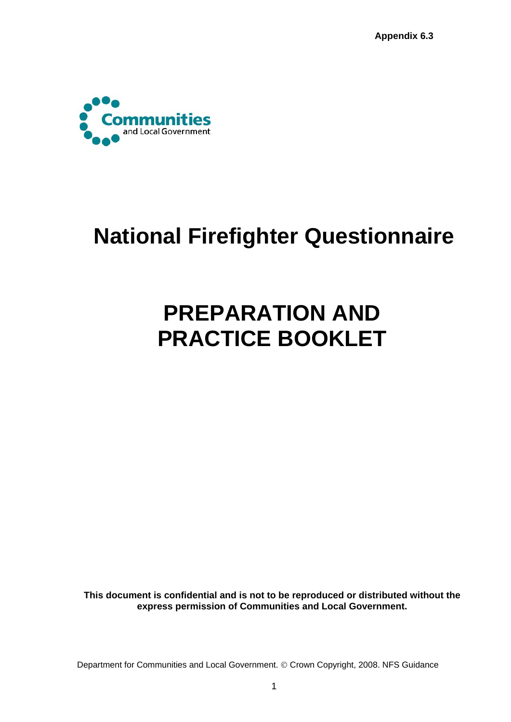

## **National Firefighter Questionnaire**

## **PREPARATION AND PRACTICE BOOKLET**

**This document is confidential and is not to be reproduced or distributed without the express permission of Communities and Local Government.**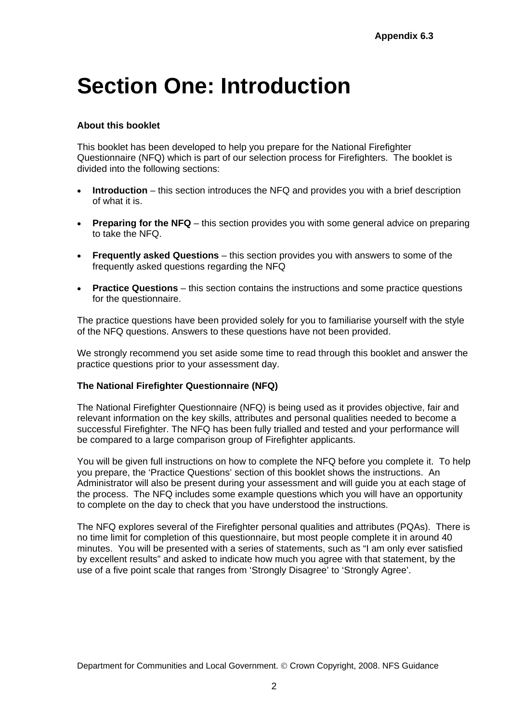## **Section One: Introduction**

### **About this booklet**

This booklet has been developed to help you prepare for the National Firefighter Questionnaire (NFQ) which is part of our selection process for Firefighters. The booklet is divided into the following sections:

- **Introduction** this section introduces the NFQ and provides you with a brief description of what it is.
- **Preparing for the NFQ** this section provides you with some general advice on preparing to take the NFQ.
- **Frequently asked Questions** this section provides you with answers to some of the frequently asked questions regarding the NFQ
- **Practice Questions** this section contains the instructions and some practice questions for the questionnaire.

The practice questions have been provided solely for you to familiarise yourself with the style of the NFQ questions. Answers to these questions have not been provided.

We strongly recommend you set aside some time to read through this booklet and answer the practice questions prior to your assessment day.

#### **The National Firefighter Questionnaire (NFQ)**

The National Firefighter Questionnaire (NFQ) is being used as it provides objective, fair and relevant information on the key skills, attributes and personal qualities needed to become a successful Firefighter. The NFQ has been fully trialled and tested and your performance will be compared to a large comparison group of Firefighter applicants.

You will be given full instructions on how to complete the NFQ before you complete it. To help you prepare, the 'Practice Questions' section of this booklet shows the instructions. An Administrator will also be present during your assessment and will guide you at each stage of the process. The NFQ includes some example questions which you will have an opportunity to complete on the day to check that you have understood the instructions.

The NFQ explores several of the Firefighter personal qualities and attributes (PQAs). There is no time limit for completion of this questionnaire, but most people complete it in around 40 minutes. You will be presented with a series of statements, such as "I am only ever satisfied by excellent results" and asked to indicate how much you agree with that statement, by the use of a five point scale that ranges from 'Strongly Disagree' to 'Strongly Agree'.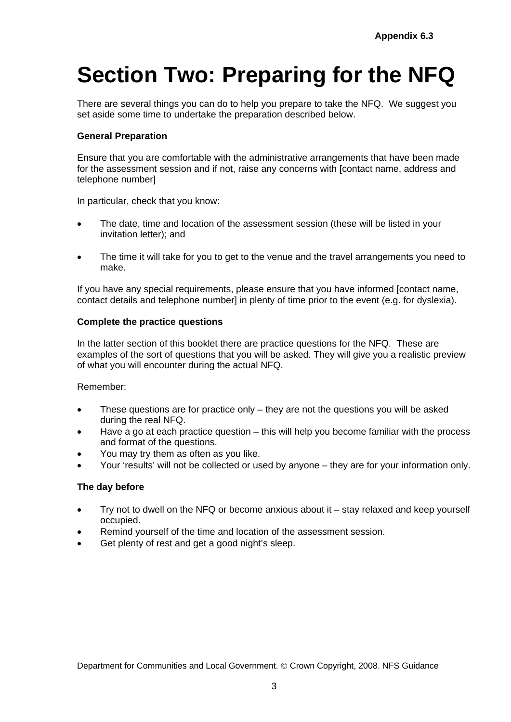# **Section Two: Preparing for the NFQ**

There are several things you can do to help you prepare to take the NFQ. We suggest you set aside some time to undertake the preparation described below.

### **General Preparation**

Ensure that you are comfortable with the administrative arrangements that have been made for the assessment session and if not, raise any concerns with [contact name, address and telephone number]

In particular, check that you know:

- The date, time and location of the assessment session (these will be listed in your invitation letter); and
- The time it will take for you to get to the venue and the travel arrangements you need to make.

If you have any special requirements, please ensure that you have informed [contact name, contact details and telephone number] in plenty of time prior to the event (e.g. for dyslexia).

#### **Complete the practice questions**

In the latter section of this booklet there are practice questions for the NFQ. These are examples of the sort of questions that you will be asked. They will give you a realistic preview of what you will encounter during the actual NFQ.

Remember:

- These questions are for practice only they are not the questions you will be asked during the real NFQ.
- Have a go at each practice question this will help you become familiar with the process and format of the questions.
- You may try them as often as you like.
- Your 'results' will not be collected or used by anyone they are for your information only.

#### **The day before**

- Try not to dwell on the NFQ or become anxious about it stay relaxed and keep yourself occupied.
- Remind yourself of the time and location of the assessment session.
- Get plenty of rest and get a good night's sleep.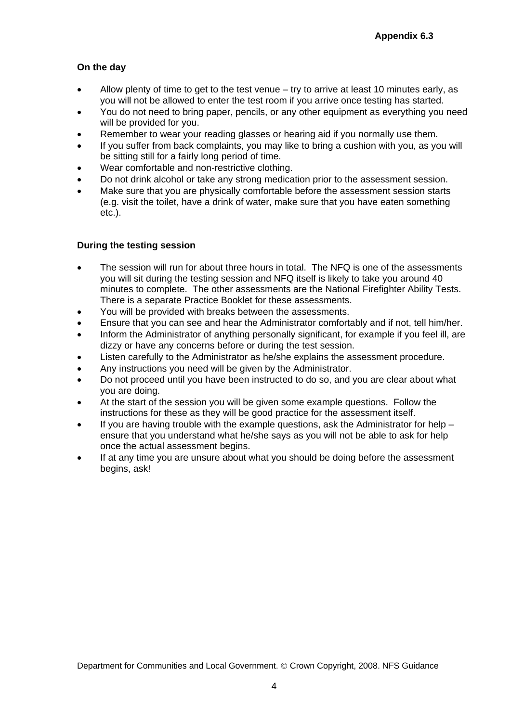## **On the day**

- Allow plenty of time to get to the test venue try to arrive at least 10 minutes early, as you will not be allowed to enter the test room if you arrive once testing has started.
- You do not need to bring paper, pencils, or any other equipment as everything you need will be provided for you.
- Remember to wear your reading glasses or hearing aid if you normally use them.
- If you suffer from back complaints, you may like to bring a cushion with you, as you will be sitting still for a fairly long period of time.
- Wear comfortable and non-restrictive clothing.
- Do not drink alcohol or take any strong medication prior to the assessment session.
- Make sure that you are physically comfortable before the assessment session starts (e.g. visit the toilet, have a drink of water, make sure that you have eaten something etc.).

### **During the testing session**

- The session will run for about three hours in total. The NFQ is one of the assessments you will sit during the testing session and NFQ itself is likely to take you around 40 minutes to complete. The other assessments are the National Firefighter Ability Tests. There is a separate Practice Booklet for these assessments.
- You will be provided with breaks between the assessments.
- Ensure that you can see and hear the Administrator comfortably and if not, tell him/her.
- Inform the Administrator of anything personally significant, for example if you feel ill, are dizzy or have any concerns before or during the test session.
- Listen carefully to the Administrator as he/she explains the assessment procedure.
- Any instructions you need will be given by the Administrator.
- Do not proceed until you have been instructed to do so, and you are clear about what you are doing.
- At the start of the session you will be given some example questions. Follow the instructions for these as they will be good practice for the assessment itself.
- If you are having trouble with the example questions, ask the Administrator for help ensure that you understand what he/she says as you will not be able to ask for help once the actual assessment begins.
- If at any time you are unsure about what you should be doing before the assessment begins, ask!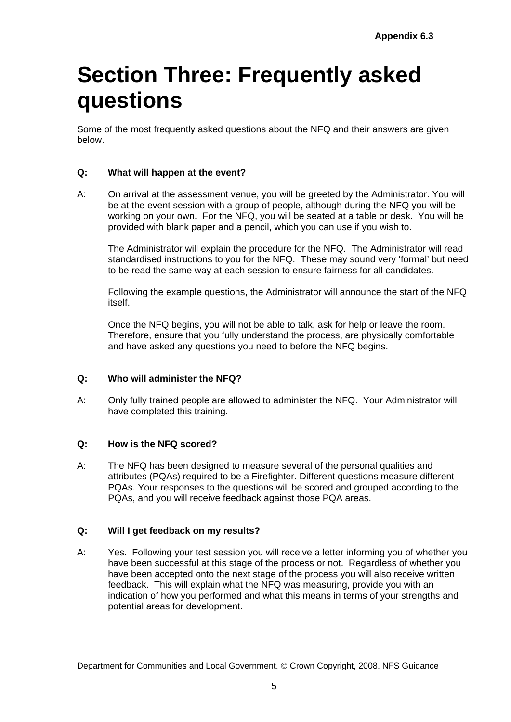## **Section Three: Frequently asked questions**

Some of the most frequently asked questions about the NFQ and their answers are given below.

## **Q: What will happen at the event?**

A: On arrival at the assessment venue, you will be greeted by the Administrator. You will be at the event session with a group of people, although during the NFQ you will be working on your own. For the NFQ, you will be seated at a table or desk. You will be provided with blank paper and a pencil, which you can use if you wish to.

 The Administrator will explain the procedure for the NFQ. The Administrator will read standardised instructions to you for the NFQ. These may sound very 'formal' but need to be read the same way at each session to ensure fairness for all candidates.

 Following the example questions, the Administrator will announce the start of the NFQ itself.

 Once the NFQ begins, you will not be able to talk, ask for help or leave the room. Therefore, ensure that you fully understand the process, are physically comfortable and have asked any questions you need to before the NFQ begins.

## **Q: Who will administer the NFQ?**

A: Only fully trained people are allowed to administer the NFQ. Your Administrator will have completed this training.

## **Q: How is the NFQ scored?**

A: The NFQ has been designed to measure several of the personal qualities and attributes (PQAs) required to be a Firefighter. Different questions measure different PQAs. Your responses to the questions will be scored and grouped according to the PQAs, and you will receive feedback against those PQA areas.

## **Q: Will I get feedback on my results?**

A: Yes. Following your test session you will receive a letter informing you of whether you have been successful at this stage of the process or not. Regardless of whether you have been accepted onto the next stage of the process you will also receive written feedback. This will explain what the NFQ was measuring, provide you with an indication of how you performed and what this means in terms of your strengths and potential areas for development.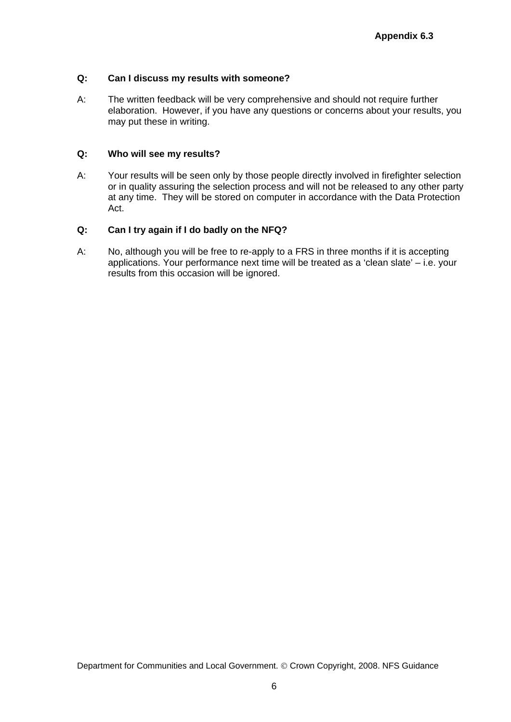### **Q: Can I discuss my results with someone?**

A: The written feedback will be very comprehensive and should not require further elaboration. However, if you have any questions or concerns about your results, you may put these in writing.

#### **Q: Who will see my results?**

A: Your results will be seen only by those people directly involved in firefighter selection or in quality assuring the selection process and will not be released to any other party at any time. They will be stored on computer in accordance with the Data Protection Act.

#### **Q: Can I try again if I do badly on the NFQ?**

A: No, although you will be free to re-apply to a FRS in three months if it is accepting applications. Your performance next time will be treated as a 'clean slate' – i.e. your results from this occasion will be ignored.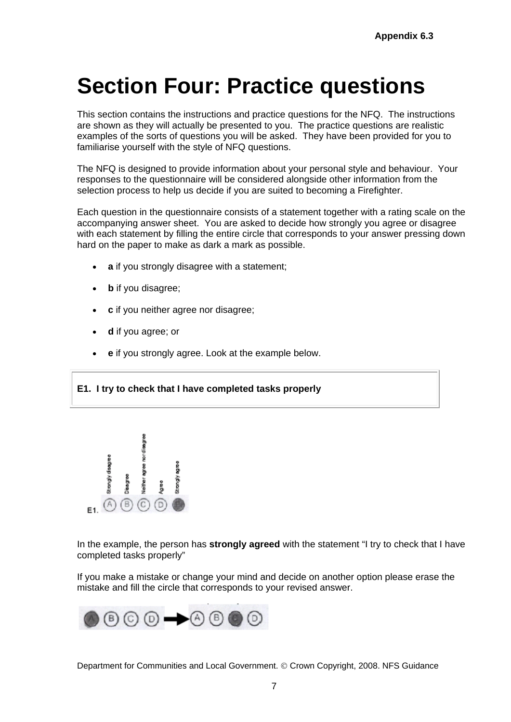## **Section Four: Practice questions**

This section contains the instructions and practice questions for the NFQ. The instructions are shown as they will actually be presented to you. The practice questions are realistic examples of the sorts of questions you will be asked. They have been provided for you to familiarise yourself with the style of NFQ questions.

The NFQ is designed to provide information about your personal style and behaviour. Your responses to the questionnaire will be considered alongside other information from the selection process to help us decide if you are suited to becoming a Firefighter.

Each question in the questionnaire consists of a statement together with a rating scale on the accompanying answer sheet. You are asked to decide how strongly you agree or disagree with each statement by filling the entire circle that corresponds to your answer pressing down hard on the paper to make as dark a mark as possible.

- **a** if you strongly disagree with a statement;
- **b** if you disagree;
- **c** if you neither agree nor disagree;
- **d** if you agree; or
- **e** if you strongly agree. Look at the example below.

**E1. I try to check that I have completed tasks properly** 



In the example, the person has **strongly agreed** with the statement "I try to check that I have completed tasks properly"

If you make a mistake or change your mind and decide on another option please erase the mistake and fill the circle that corresponds to your revised answer.

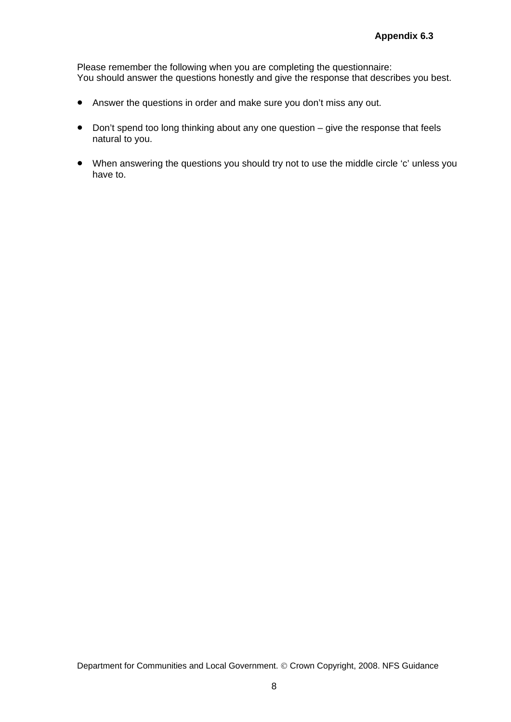Please remember the following when you are completing the questionnaire: You should answer the questions honestly and give the response that describes you best.

- Answer the questions in order and make sure you don't miss any out.
- Don't spend too long thinking about any one question give the response that feels natural to you.
- When answering the questions you should try not to use the middle circle 'c' unless you have to.